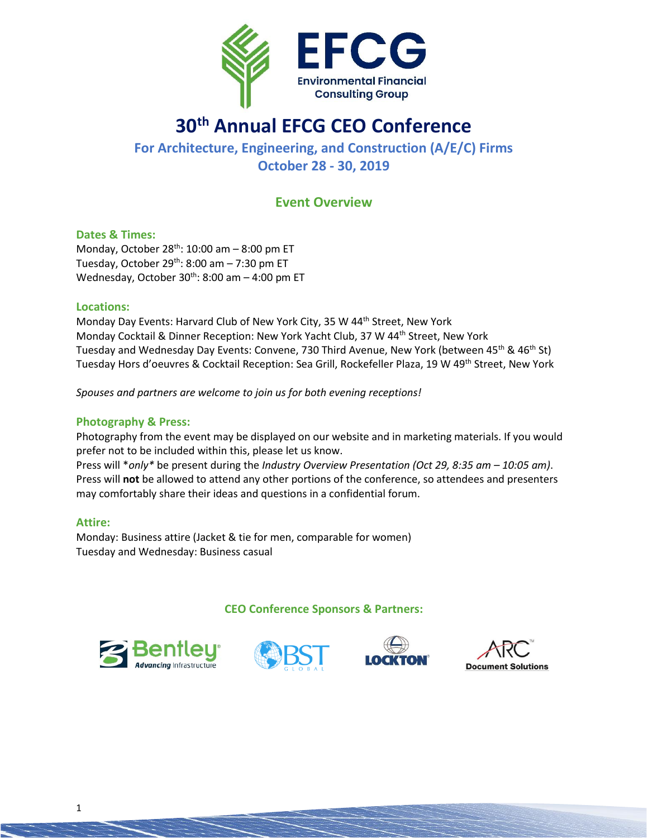

# **30th Annual EFCG CEO Conference**

# **For Architecture, Engineering, and Construction (A/E/C) Firms October 28 - 30, 2019**

# **Event Overview**

# **Dates & Times:**  Monday, October 28<sup>th</sup>: 10:00 am - 8:00 pm ET

Tuesday, October 29 th: 8:00 am – 7:30 pm ET Wednesday, October 30<sup>th</sup>: 8:00 am - 4:00 pm ET

# **Locations:**

Monday Day Events: Harvard Club of New York City, 35 W 44<sup>th</sup> Street, New York Monday Cocktail & Dinner Reception: New York Yacht Club, 37 W 44th Street, New York Tuesday and Wednesday Day Events: Convene, 730 Third Avenue, New York (between 45<sup>th</sup> & 46<sup>th</sup> St) Tuesday Hors d'oeuvres & Cocktail Reception: Sea Grill, Rockefeller Plaza, 19 W 49<sup>th</sup> Street, New York

*Spouses and partners are welcome to join us for both evening receptions!*

# **Photography & Press:**

Photography from the event may be displayed on our website and in marketing materials. If you would prefer not to be included within this, please let us know.

Press will \**only\** be present during the *Industry Overview Presentation (Oct 29, 8:35 am – 10:05 am)*. Press will **not** be allowed to attend any other portions of the conference, so attendees and presenters may comfortably share their ideas and questions in a confidential forum.

# **Attire:**

Monday: Business attire (Jacket & tie for men, comparable for women) Tuesday and Wednesday: Business casual

# **CEO Conference Sponsors & Partners:**







**Document Solutions**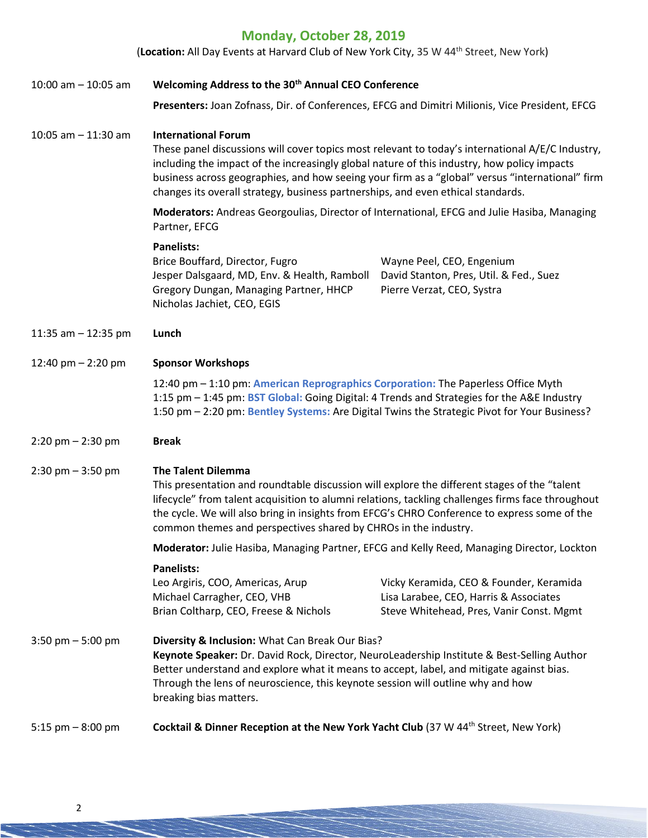|                                                                                            | Monday, October 28, 2019                                                                                                                                                                                                                                                                                                                                                                                                                                                                        |                                                                                                                               |  |
|--------------------------------------------------------------------------------------------|-------------------------------------------------------------------------------------------------------------------------------------------------------------------------------------------------------------------------------------------------------------------------------------------------------------------------------------------------------------------------------------------------------------------------------------------------------------------------------------------------|-------------------------------------------------------------------------------------------------------------------------------|--|
|                                                                                            | (Location: All Day Events at Harvard Club of New York City, 35 W 44 <sup>th</sup> Street, New York)                                                                                                                                                                                                                                                                                                                                                                                             |                                                                                                                               |  |
| Welcoming Address to the 30 <sup>th</sup> Annual CEO Conference<br>$10:00$ am $- 10:05$ am |                                                                                                                                                                                                                                                                                                                                                                                                                                                                                                 |                                                                                                                               |  |
|                                                                                            | Presenters: Joan Zofnass, Dir. of Conferences, EFCG and Dimitri Milionis, Vice President, EFCG                                                                                                                                                                                                                                                                                                                                                                                                  |                                                                                                                               |  |
| 10:05 am $-$ 11:30 am                                                                      | <b>International Forum</b><br>These panel discussions will cover topics most relevant to today's international A/E/C Industry,<br>including the impact of the increasingly global nature of this industry, how policy impacts<br>business across geographies, and how seeing your firm as a "global" versus "international" firm<br>changes its overall strategy, business partnerships, and even ethical standards.                                                                            |                                                                                                                               |  |
|                                                                                            | Moderators: Andreas Georgoulias, Director of International, EFCG and Julie Hasiba, Managing<br>Partner, EFCG                                                                                                                                                                                                                                                                                                                                                                                    |                                                                                                                               |  |
|                                                                                            | <b>Panelists:</b><br>Brice Bouffard, Director, Fugro<br>Jesper Dalsgaard, MD, Env. & Health, Ramboll<br>Gregory Dungan, Managing Partner, HHCP<br>Nicholas Jachiet, CEO, EGIS                                                                                                                                                                                                                                                                                                                   | Wayne Peel, CEO, Engenium<br>David Stanton, Pres, Util. & Fed., Suez<br>Pierre Verzat, CEO, Systra                            |  |
| 11:35 am $-$ 12:35 pm                                                                      | Lunch                                                                                                                                                                                                                                                                                                                                                                                                                                                                                           |                                                                                                                               |  |
| 12:40 pm $-$ 2:20 pm                                                                       | <b>Sponsor Workshops</b>                                                                                                                                                                                                                                                                                                                                                                                                                                                                        |                                                                                                                               |  |
|                                                                                            | 12:40 pm - 1:10 pm: American Reprographics Corporation: The Paperless Office Myth<br>1:15 pm - 1:45 pm: BST Global: Going Digital: 4 Trends and Strategies for the A&E Industry<br>1:50 pm - 2:20 pm: Bentley Systems: Are Digital Twins the Strategic Pivot for Your Business?                                                                                                                                                                                                                 |                                                                                                                               |  |
| $2:20$ pm $- 2:30$ pm                                                                      | <b>Break</b>                                                                                                                                                                                                                                                                                                                                                                                                                                                                                    |                                                                                                                               |  |
| $2:30$ pm $-3:50$ pm                                                                       | <b>The Talent Dilemma</b><br>This presentation and roundtable discussion will explore the different stages of the "talent<br>lifecycle" from talent acquisition to alumni relations, tackling challenges firms face throughout<br>the cycle. We will also bring in insights from EFCG's CHRO Conference to express some of the<br>common themes and perspectives shared by CHROs in the industry.<br>Moderator: Julie Hasiba, Managing Partner, EFCG and Kelly Reed, Managing Director, Lockton |                                                                                                                               |  |
|                                                                                            |                                                                                                                                                                                                                                                                                                                                                                                                                                                                                                 |                                                                                                                               |  |
|                                                                                            | <b>Panelists:</b><br>Leo Argiris, COO, Americas, Arup<br>Michael Carragher, CEO, VHB<br>Brian Coltharp, CEO, Freese & Nichols                                                                                                                                                                                                                                                                                                                                                                   | Vicky Keramida, CEO & Founder, Keramida<br>Lisa Larabee, CEO, Harris & Associates<br>Steve Whitehead, Pres, Vanir Const. Mgmt |  |
| 3:50 pm $-5:00$ pm                                                                         | Diversity & Inclusion: What Can Break Our Bias?<br>Keynote Speaker: Dr. David Rock, Director, NeuroLeadership Institute & Best-Selling Author<br>Better understand and explore what it means to accept, label, and mitigate against bias.<br>Through the lens of neuroscience, this keynote session will outline why and how<br>breaking bias matters.                                                                                                                                          |                                                                                                                               |  |
| 5:15 pm $-8:00$ pm                                                                         | Cocktail & Dinner Reception at the New York Yacht Club (37 W 44 <sup>th</sup> Street, New York)                                                                                                                                                                                                                                                                                                                                                                                                 |                                                                                                                               |  |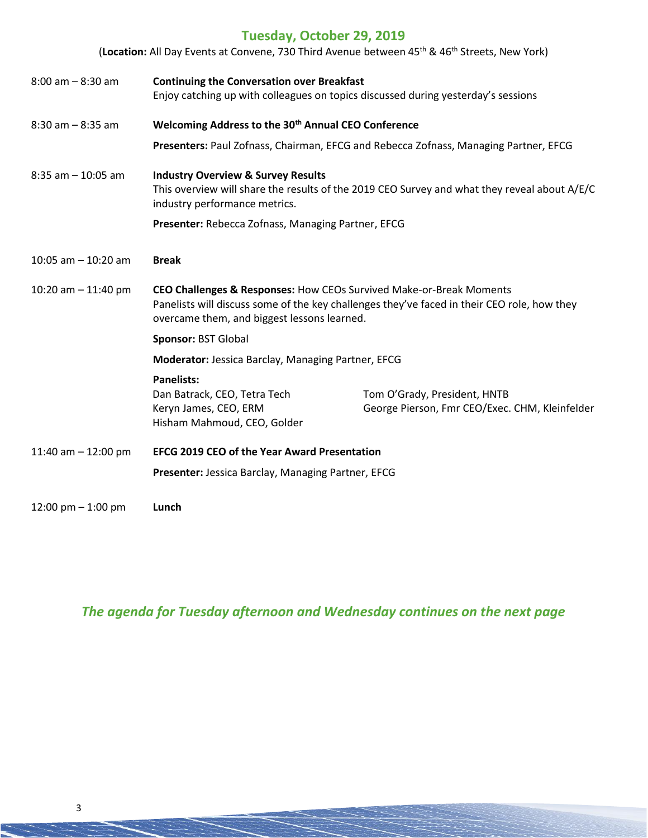# **Tuesday, October 29, 2019**

(**Location:** All Day Events at Convene, 730 Third Avenue between 45th & 46th Streets, New York)

| $8:00$ am $-8:30$ am  | <b>Continuing the Conversation over Breakfast</b><br>Enjoy catching up with colleagues on topics discussed during yesterday's sessions                                                                            |                                                                                      |  |
|-----------------------|-------------------------------------------------------------------------------------------------------------------------------------------------------------------------------------------------------------------|--------------------------------------------------------------------------------------|--|
| $8:30$ am $-8:35$ am  | Welcoming Address to the 30 <sup>th</sup> Annual CEO Conference                                                                                                                                                   |                                                                                      |  |
|                       |                                                                                                                                                                                                                   | Presenters: Paul Zofnass, Chairman, EFCG and Rebecca Zofnass, Managing Partner, EFCG |  |
| $8:35$ am $-10:05$ am | <b>Industry Overview &amp; Survey Results</b><br>This overview will share the results of the 2019 CEO Survey and what they reveal about A/E/C<br>industry performance metrics.                                    |                                                                                      |  |
|                       | Presenter: Rebecca Zofnass, Managing Partner, EFCG                                                                                                                                                                |                                                                                      |  |
| 10:05 am $-$ 10:20 am | <b>Break</b>                                                                                                                                                                                                      |                                                                                      |  |
| 10:20 am - 11:40 pm   | CEO Challenges & Responses: How CEOs Survived Make-or-Break Moments<br>Panelists will discuss some of the key challenges they've faced in their CEO role, how they<br>overcame them, and biggest lessons learned. |                                                                                      |  |
|                       | Sponsor: BST Global                                                                                                                                                                                               |                                                                                      |  |
|                       | Moderator: Jessica Barclay, Managing Partner, EFCG                                                                                                                                                                |                                                                                      |  |
|                       | <b>Panelists:</b><br>Dan Batrack, CEO, Tetra Tech<br>Keryn James, CEO, ERM<br>Hisham Mahmoud, CEO, Golder                                                                                                         | Tom O'Grady, President, HNTB<br>George Pierson, Fmr CEO/Exec. CHM, Kleinfelder       |  |
| 11:40 am $-$ 12:00 pm | <b>EFCG 2019 CEO of the Year Award Presentation</b>                                                                                                                                                               |                                                                                      |  |
|                       | Presenter: Jessica Barclay, Managing Partner, EFCG                                                                                                                                                                |                                                                                      |  |
| 12:00 pm $-$ 1:00 pm  | Lunch                                                                                                                                                                                                             |                                                                                      |  |

*The agenda for Tuesday afternoon and Wednesday continues on the next page*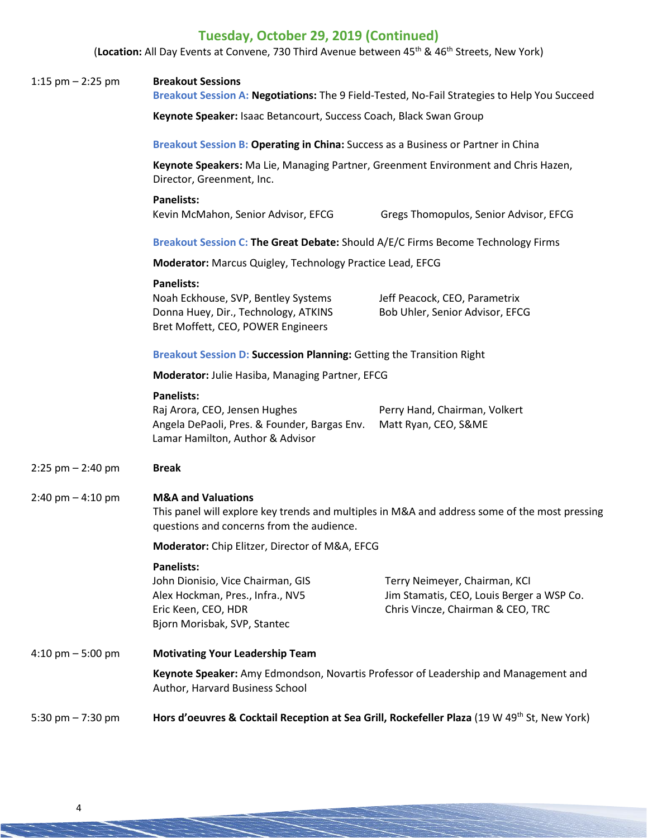# **Tuesday, October 29, 2019 (Continued)**

(Location: All Day Events at Convene, 730 Third Avenue between 45<sup>th</sup> & 46<sup>th</sup> Streets, New York)

### 1:15 pm – 2:25 pm **Breakout Sessions**

**Breakout Session A: Negotiations:** The 9 Field-Tested, No-Fail Strategies to Help You Succeed

**Keynote Speaker:** Isaac Betancourt, Success Coach, Black Swan Group

**Breakout Session B: Operating in China:** Success as a Business or Partner in China

**Keynote Speakers:** Ma Lie, Managing Partner, Greenment Environment and Chris Hazen, Director, Greenment, Inc.

#### **Panelists:**

Kevin McMahon, Senior Advisor, EFCG Gregs Thomopulos, Senior Advisor, EFCG

**Breakout Session C: The Great Debate:** Should A/E/C Firms Become Technology Firms

**Moderator:** Marcus Quigley, Technology Practice Lead, EFCG

#### **Panelists:**

Noah Eckhouse, SVP, Bentley Systems Donna Huey, Dir., Technology, ATKINS Bret Moffett, CEO, POWER Engineers

Jeff Peacock, CEO, Parametrix Bob Uhler, Senior Advisor, EFCG

#### **Breakout Session D: Succession Planning:** Getting the Transition Right

**Moderator:** Julie Hasiba, Managing Partner, EFCG

#### **Panelists:**

Raj Arora, CEO, Jensen Hughes Angela DePaoli, Pres. & Founder, Bargas Env. Lamar Hamilton, Author & Advisor Perry Hand, Chairman, Volkert Matt Ryan, CEO, S&ME

### 2:25 pm – 2:40 pm **Break**

### 2:40 pm – 4:10 pm **M&A and Valuations**

This panel will explore key trends and multiples in M&A and address some of the most pressing questions and concerns from the audience.

**Moderator:** Chip Elitzer, Director of M&A, EFCG

#### **Panelists:**

| John Dionisio, Vice Chairman, GIS | Terry Neimeyer, Chairman, KCI             |
|-----------------------------------|-------------------------------------------|
| Alex Hockman, Pres., Infra., NV5  | Jim Stamatis, CEO, Louis Berger a WSP Co. |
| Eric Keen, CEO, HDR               | Chris Vincze, Chairman & CEO, TRC         |
| Bjorn Morisbak, SVP, Stantec      |                                           |
|                                   |                                           |

# 4:10 pm – 5:00 pm **Motivating Your Leadership Team**

**Keynote Speaker:** Amy Edmondson, Novartis Professor of Leadership and Management and Author, Harvard Business School

5:30 pm – 7:30 pm **Hors d'oeuvres & Cocktail Reception at Sea Grill, Rockefeller Plaza** (19 W 49th St, New York)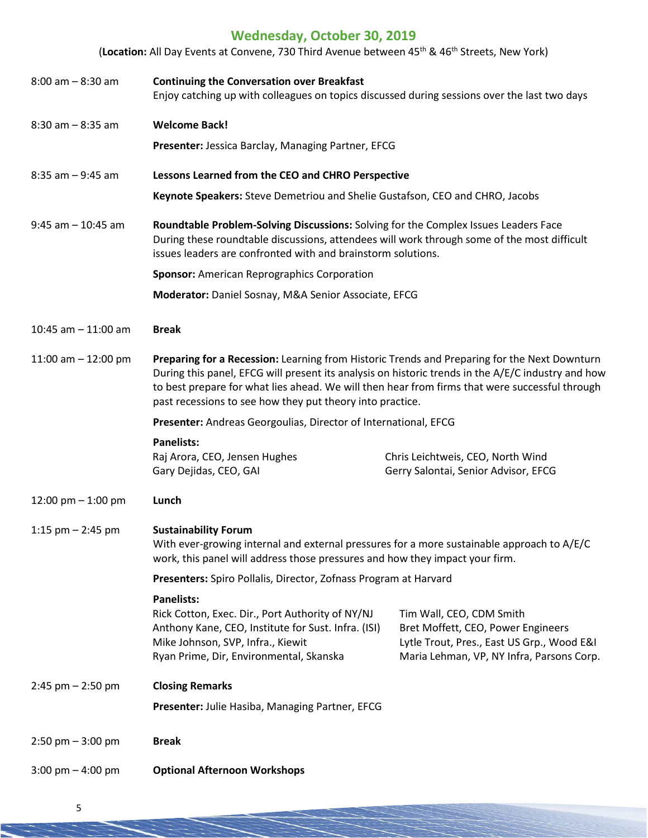# **Wednesday, October 30, 2019**

(Location: All Day Events at Convene, 730 Third Avenue between 45<sup>th</sup> & 46<sup>th</sup> Streets, New York)

- 8:00 am 8:30 am **Continuing the Conversation over Breakfast** Enjoy catching up with colleagues on topics discussed during sessions over the last two days
- 8:30 am 8:35 am **Welcome Back!**

**Presenter:** Jessica Barclay, Managing Partner, EFCG

8:35 am – 9:45 am **Lessons Learned from the CEO and CHRO Perspective**

**Keynote Speakers:** Steve Demetriou and Shelie Gustafson, CEO and CHRO, Jacobs

9:45 am – 10:45 am **Roundtable Problem-Solving Discussions:** Solving for the Complex Issues Leaders Face During these roundtable discussions, attendees will work through some of the most difficult issues leaders are confronted with and brainstorm solutions.

**Sponsor:** American Reprographics Corporation

**Moderator:** Daniel Sosnay, M&A Senior Associate, EFCG

- 10:45 am 11:00 am **Break**
- 11:00 am 12:00 pm **Preparing for a Recession:** Learning from Historic Trends and Preparing for the Next Downturn During this panel, EFCG will present its analysis on historic trends in the A/E/C industry and how to best prepare for what lies ahead. We will then hear from firms that were successful through past recessions to see how they put theory into practice.

**Presenter:** Andreas Georgoulias, Director of International, EFCG

**Panelists:**  Raj Arora, CEO, Jensen Hughes Gary Dejidas, CEO, GAI

12:00 pm – 1:00 pm **Lunch** 

### 1:15 pm – 2:45 pm **Sustainability Forum**

With ever-growing internal and external pressures for a more sustainable approach to A/E/C work, this panel will address those pressures and how they impact your firm.

Chris Leichtweis, CEO, North Wind Gerry Salontai, Senior Advisor, EFCG

**Presenters:** Spiro Pollalis, Director, Zofnass Program at Harvard

### **Panelists:**

| Rick Cotton, Exec. Dir., Port Authority of NY/NJ    | Tim Wall, CEO, CDM Smith                   |
|-----------------------------------------------------|--------------------------------------------|
| Anthony Kane, CEO, Institute for Sust. Infra. (ISI) | Bret Moffett, CEO, Power Engineers         |
| Mike Johnson, SVP, Infra., Kiewit                   | Lytle Trout, Pres., East US Grp., Wood E&I |
| Ryan Prime, Dir, Environmental, Skanska             | Maria Lehman, VP, NY Infra, Parsons Corp.  |
|                                                     |                                            |

# 2:45 pm – 2:50 pm **Closing Remarks**

**Presenter:** Julie Hasiba, Managing Partner, EFCG

- 2:50 pm 3:00 pm **Break**
- 3:00 pm 4:00 pm **Optional Afternoon Workshops**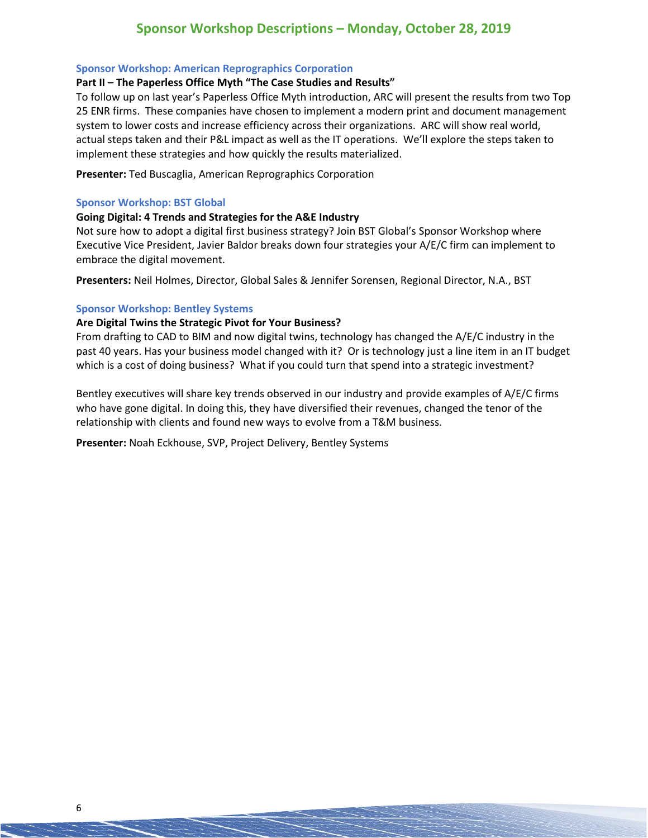# **Sponsor Workshop Descriptions – Monday, October 28, 2019**

#### **Sponsor Workshop: American Reprographics Corporation**

# **Part II – The Paperless Office Myth "The Case Studies and Results"**

To follow up on last year's Paperless Office Myth introduction, ARC will present the results from two Top 25 ENR firms. These companies have chosen to implement a modern print and document management system to lower costs and increase efficiency across their organizations. ARC will show real world, actual steps taken and their P&L impact as well as the IT operations. We'll explore the steps taken to implement these strategies and how quickly the results materialized.

**Presenter:** Ted Buscaglia, American Reprographics Corporation

# **Sponsor Workshop: BST Global**

# **Going Digital: 4 Trends and Strategies for the A&E Industry**

Not sure how to adopt a digital first business strategy? Join BST Global's Sponsor Workshop where Executive Vice President, Javier Baldor breaks down four strategies your A/E/C firm can implement to embrace the digital movement.

**Presenters:** Neil Holmes, Director, Global Sales & Jennifer Sorensen, Regional Director, N.A., BST

# **Sponsor Workshop: Bentley Systems**

# **Are Digital Twins the Strategic Pivot for Your Business?**

From drafting to CAD to BIM and now digital twins, technology has changed the A/E/C industry in the past 40 years. Has your business model changed with it? Or is technology just a line item in an IT budget which is a cost of doing business? What if you could turn that spend into a strategic investment?

Bentley executives will share key trends observed in our industry and provide examples of A/E/C firms who have gone digital. In doing this, they have diversified their revenues, changed the tenor of the relationship with clients and found new ways to evolve from a T&M business.

**Presenter:** Noah Eckhouse, SVP, Project Delivery, Bentley Systems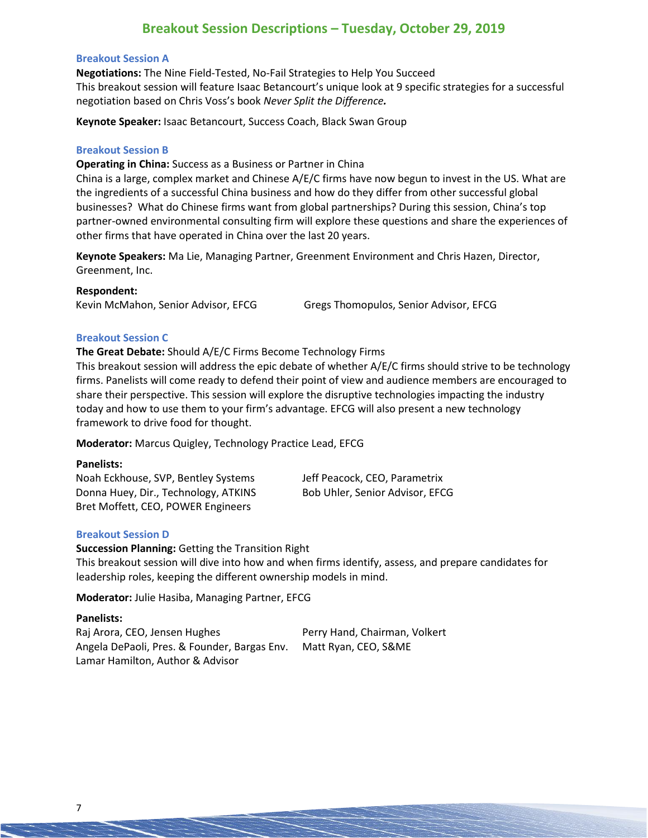# **Breakout Session Descriptions – Tuesday, October 29, 2019**

### **Breakout Session A**

**Negotiations:** The Nine Field-Tested, No-Fail Strategies to Help You Succeed This breakout session will feature Isaac Betancourt's unique look at 9 specific strategies for a successful negotiation based on Chris Voss's book *Never Split the Difference.*

**Keynote Speaker:** Isaac Betancourt, Success Coach, Black Swan Group

### **Breakout Session B**

**Operating in China:** Success as a Business or Partner in China

China is a large, complex market and Chinese A/E/C firms have now begun to invest in the US. What are the ingredients of a successful China business and how do they differ from other successful global businesses? What do Chinese firms want from global partnerships? During this session, China's top partner-owned environmental consulting firm will explore these questions and share the experiences of other firms that have operated in China over the last 20 years.

**Keynote Speakers:** Ma Lie, Managing Partner, Greenment Environment and Chris Hazen, Director, Greenment, Inc.

### **Respondent:**

Kevin McMahon, Senior Advisor, EFCG Gregs Thomopulos, Senior Advisor, EFCG

# **Breakout Session C**

**The Great Debate:** Should A/E/C Firms Become Technology Firms

This breakout session will address the epic debate of whether A/E/C firms should strive to be technology firms. Panelists will come ready to defend their point of view and audience members are encouraged to share their perspective. This session will explore the disruptive technologies impacting the industry today and how to use them to your firm's advantage. EFCG will also present a new technology framework to drive food for thought.

**Moderator:** Marcus Quigley, Technology Practice Lead, EFCG

### **Panelists:**

Noah Eckhouse, SVP, Bentley Systems Donna Huey, Dir., Technology, ATKINS Bret Moffett, CEO, POWER Engineers

Jeff Peacock, CEO, Parametrix Bob Uhler, Senior Advisor, EFCG

### **Breakout Session D**

**Succession Planning:** Getting the Transition Right This breakout session will dive into how and when firms identify, assess, and prepare candidates for leadership roles, keeping the different ownership models in mind.

**Moderator:** Julie Hasiba, Managing Partner, EFCG

### **Panelists:**

Raj Arora, CEO, Jensen Hughes Angela DePaoli, Pres. & Founder, Bargas Env. Lamar Hamilton, Author & Advisor Perry Hand, Chairman, Volkert Matt Ryan, CEO, S&ME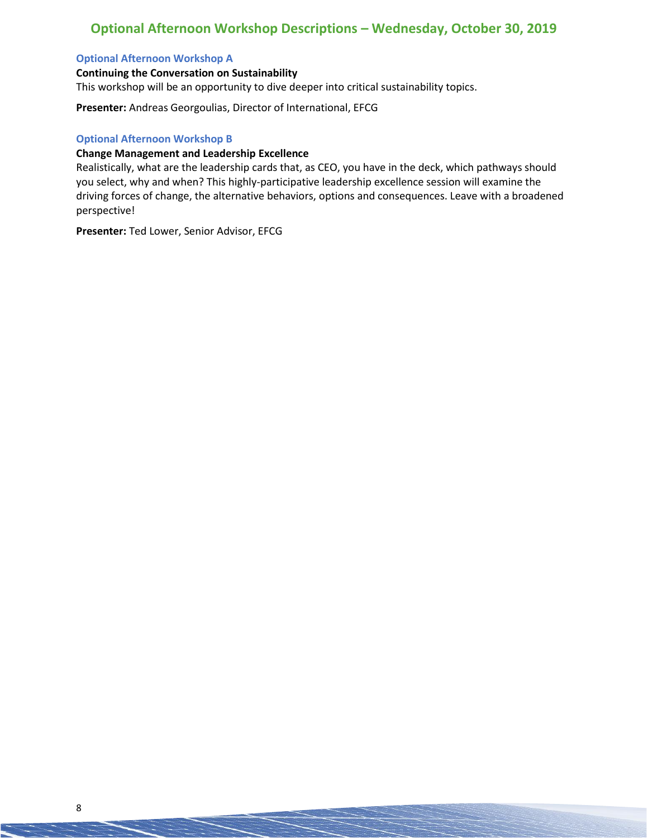# **Optional Afternoon Workshop Descriptions – Wednesday, October 30, 2019**

# **Optional Afternoon Workshop A**

### **Continuing the Conversation on Sustainability**

This workshop will be an opportunity to dive deeper into critical sustainability topics.

**Presenter:** Andreas Georgoulias, Director of International, EFCG

# **Optional Afternoon Workshop B**

#### **Change Management and Leadership Excellence**

Realistically, what are the leadership cards that, as CEO, you have in the deck, which pathways should you select, why and when? This highly-participative leadership excellence session will examine the driving forces of change, the alternative behaviors, options and consequences. Leave with a broadened perspective!

**Presenter:** Ted Lower, Senior Advisor, EFCG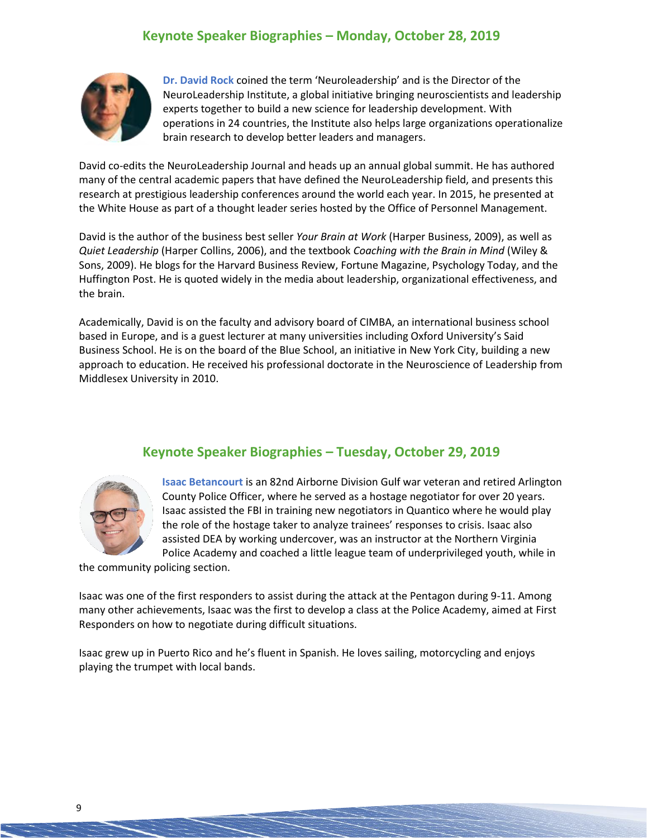# **Keynote Speaker Biographies – Monday, October 28, 2019**



**Dr. David Rock** coined the term 'Neuroleadership' and is the Director of the NeuroLeadership Institute, a global initiative bringing neuroscientists and leadership experts together to build a new science for leadership development. With operations in 24 countries, the Institute also helps large organizations operationalize brain research to develop better leaders and managers.

David co-edits the NeuroLeadership Journal and heads up an annual global summit. He has authored many of the central academic papers that have defined the NeuroLeadership field, and presents this research at prestigious leadership conferences around the world each year. In 2015, he presented at the White House as part of a thought leader series hosted by the Office of Personnel Management.

David is the author of the business best seller *Your Brain at Work* (Harper Business, 2009), as well as *Quiet Leadership* (Harper Collins, 2006), and the textbook *Coaching with the Brain in Mind* (Wiley & Sons, 2009). He blogs for the Harvard Business Review, Fortune Magazine, Psychology Today, and the Huffington Post. He is quoted widely in the media about leadership, organizational effectiveness, and the brain.

Academically, David is on the faculty and advisory board of CIMBA, an international business school based in Europe, and is a guest lecturer at many universities including Oxford University's Said Business School. He is on the board of the Blue School, an initiative in New York City, building a new approach to education. He received his professional doctorate in the Neuroscience of Leadership from Middlesex University in 2010.

# **Keynote Speaker Biographies – Tuesday, October 29, 2019**



**Isaac Betancourt** is an 82nd Airborne Division Gulf war veteran and retired Arlington County Police Officer, where he served as a hostage negotiator for over 20 years. Isaac assisted the FBI in training new negotiators in Quantico where he would play the role of the hostage taker to analyze trainees' responses to crisis. Isaac also assisted DEA by working undercover, was an instructor at the Northern Virginia Police Academy and coached a little league team of underprivileged youth, while in

the community policing section.

Isaac was one of the first responders to assist during the attack at the Pentagon during 9-11. Among many other achievements, Isaac was the first to develop a class at the Police Academy, aimed at First Responders on how to negotiate during difficult situations.

Isaac grew up in Puerto Rico and he's fluent in Spanish. He loves sailing, motorcycling and enjoys playing the trumpet with local bands.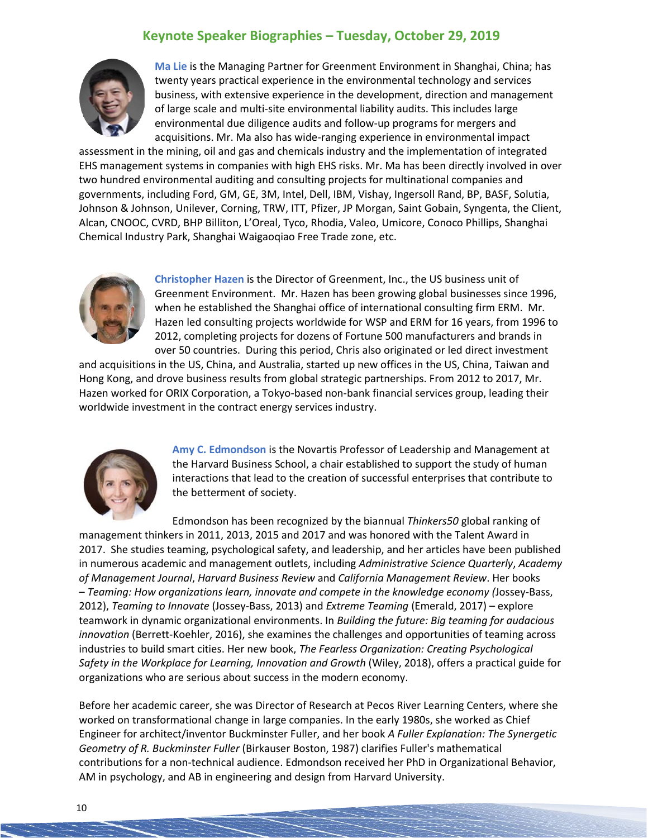# **Keynote Speaker Biographies – Tuesday, October 29, 2019**



**Ma Lie** is the Managing Partner for Greenment Environment in Shanghai, China; has twenty years practical experience in the environmental technology and services business, with extensive experience in the development, direction and management of large scale and multi-site environmental liability audits. This includes large environmental due diligence audits and follow-up programs for mergers and acquisitions. Mr. Ma also has wide-ranging experience in environmental impact

assessment in the mining, oil and gas and chemicals industry and the implementation of integrated EHS management systems in companies with high EHS risks. Mr. Ma has been directly involved in over two hundred environmental auditing and consulting projects for multinational companies and governments, including Ford, GM, GE, 3M, Intel, Dell, IBM, Vishay, Ingersoll Rand, BP, BASF, Solutia, Johnson & Johnson, Unilever, Corning, TRW, ITT, Pfizer, JP Morgan, Saint Gobain, Syngenta, the Client, Alcan, CNOOC, CVRD, BHP Billiton, L'Oreal, Tyco, Rhodia, Valeo, Umicore, Conoco Phillips, Shanghai Chemical Industry Park, Shanghai Waigaoqiao Free Trade zone, etc.



**Christopher Hazen** is the Director of Greenment, Inc., the US business unit of Greenment Environment. Mr. Hazen has been growing global businesses since 1996, when he established the Shanghai office of international consulting firm ERM. Mr. Hazen led consulting projects worldwide for WSP and ERM for 16 years, from 1996 to 2012, completing projects for dozens of Fortune 500 manufacturers and brands in over 50 countries. During this period, Chris also originated or led direct investment

and acquisitions in the US, China, and Australia, started up new offices in the US, China, Taiwan and Hong Kong, and drove business results from global strategic partnerships. From 2012 to 2017, Mr. Hazen worked for ORIX Corporation, a Tokyo-based non-bank financial services group, leading their worldwide investment in the contract energy services industry.



**Amy C. Edmondson** is the Novartis Professor of Leadership and Management at the Harvard Business School, a chair established to support the study of human interactions that lead to the creation of successful enterprises that contribute to the betterment of society.

Edmondson has been recognized by the biannual *Thinkers50* global ranking of management thinkers in 2011, 2013, 2015 and 2017 and was honored with the Talent Award in 2017. She studies teaming, psychological safety, and leadership, and her articles have been published in numerous academic and management outlets, including *Administrative Science Quarterly*, *Academy of Management Journal*, *Harvard Business Review* and *California Management Review*. Her books – *Teaming: How organizations learn, innovate and compete in the knowledge economy (*Jossey-Bass, 2012), *Teaming to Innovate* (Jossey-Bass, 2013) and *Extreme Teaming* (Emerald, 2017) – explore teamwork in dynamic organizational environments. In *Building the future: Big teaming for audacious innovation* (Berrett-Koehler, 2016), she examines the challenges and opportunities of teaming across industries to build smart cities. Her new book, *The Fearless Organization: Creating Psychological Safety in the Workplace for Learning, Innovation and Growth* (Wiley, 2018), offers a practical guide for organizations who are serious about success in the modern economy.

Before her academic career, she was Director of Research at Pecos River Learning Centers, where she worked on transformational change in large companies. In the early 1980s, she worked as Chief Engineer for architect/inventor Buckminster Fuller, and her book *A Fuller Explanation: The Synergetic Geometry of R. Buckminster Fuller* (Birkauser Boston, 1987) clarifies Fuller's mathematical contributions for a non-technical audience. Edmondson received her PhD in Organizational Behavior, AM in psychology, and AB in engineering and design from Harvard University.